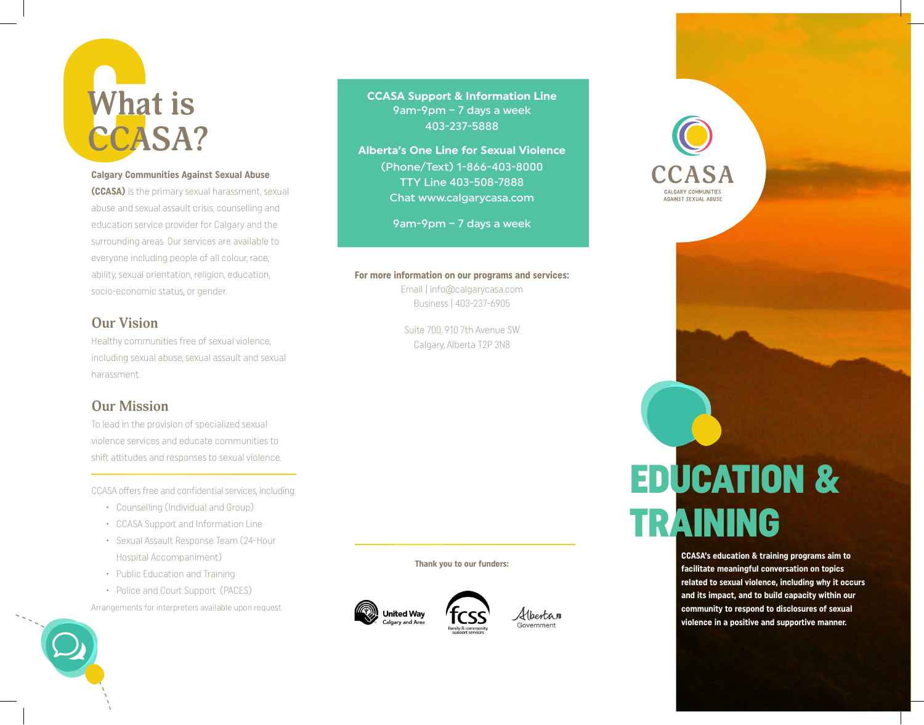### Wha **What is CCASA?**

#### **Calgary Communities Against Sexual Abuse**

**(CCASA)** is the primary sexual harassment, sexual abuse and sexual assault crisis, counselling and education service provider for Calgary and the surrounding areas. Our services are available to everyone including people of all colour, race, ability, sexual orientation, religion, education, socio-economic status, or gender.

#### **Our Vision**

Healthy communities free of sexual violence, including sexual abuse, sexual assault and sexual harassment.

#### **Our Mission**

To lead in the provision of specialized sexual violence services and educate communities to shift attitudes and responses to sexual violence.

CCASA offers free and confidential services, including:

- • Counselling (Individual and Group)
- • CCASA Support and Information Line
- • Sexual Assault Response Team (24-Hour Hospital Accompaniment)
- Public Education and Training
- Police and Court Support (PACES)

Arrangements for interpreters available upon request.



**CCASA Support & Information Line**  9am-9pm – 7 days a week 403-237-5888

**Alberta's One Line for Sexual Violence**  (Phone/Text) 1-866-403-8000 TTY Line 403-508-7888 Chat www.calgarycasa.com

9am-9pm – 7 days a week

#### **For more information on our programs and services:**

Email | info@calgarycasa.com Business | 403-237-6905

Suite 700, 910 7th Avenue SW Calgary, Alberta T2P 3N8

**Thank you to our funders:**





# AGAINST SEXUAL ABUSE

### EDUCATION & TRAINING

**CCASA's education & training programs aim to facilitate meaningful conversation on topics related to sexual violence, including why it occurs and its impact, and to build capacity within our community to respond to disclosures of sexual violence in a positive and supportive manner.**